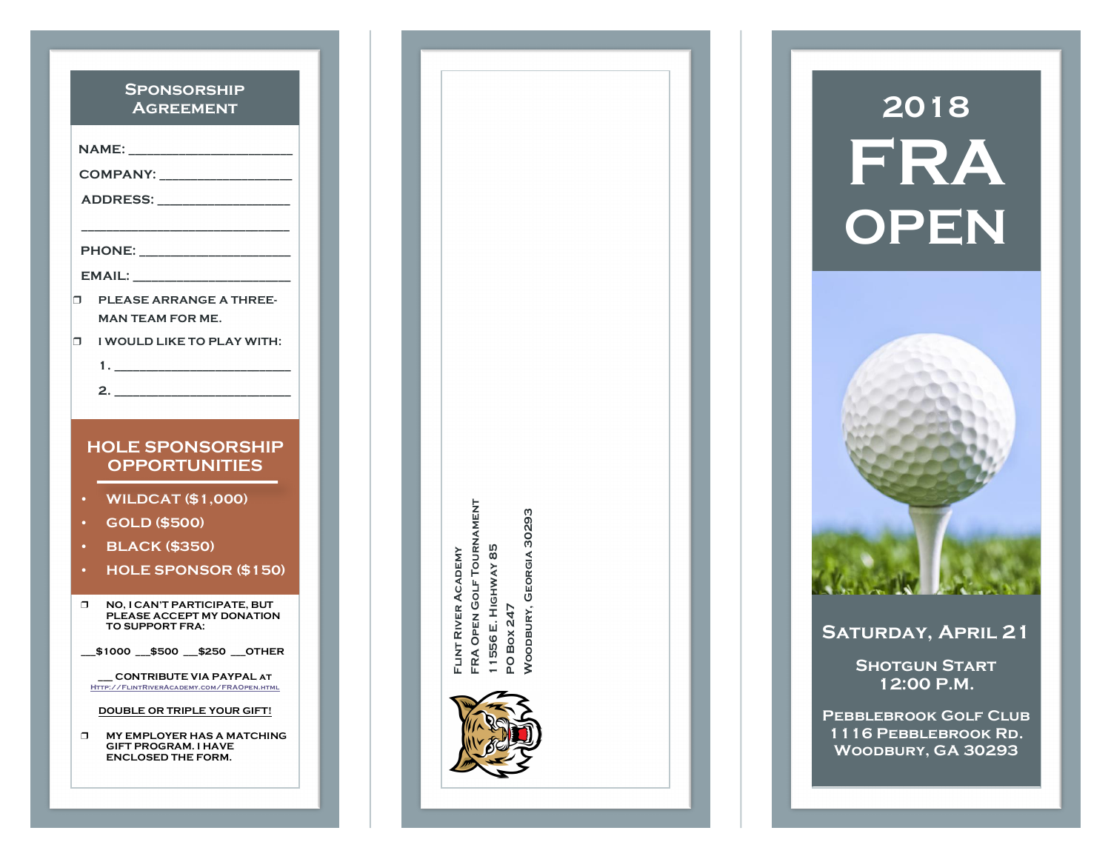| <b>SPONSORSHIP</b><br><b>AGREEMENT</b>                                                                                                                                                                                              |                                                                                     |  |  |
|-------------------------------------------------------------------------------------------------------------------------------------------------------------------------------------------------------------------------------------|-------------------------------------------------------------------------------------|--|--|
|                                                                                                                                                                                                                                     |                                                                                     |  |  |
| COMPANY: __________________                                                                                                                                                                                                         |                                                                                     |  |  |
| <u>ADDRESS:______________</u>                                                                                                                                                                                                       |                                                                                     |  |  |
| <b>PHONE:</b> The contract of the contract of the contract of the contract of the contract of the contract of the contract of the contract of the contract of the contract of the contract of the contract of the contract of the c |                                                                                     |  |  |
| EMAIL:                                                                                                                                                                                                                              |                                                                                     |  |  |
| <b>PLEASE ARRANGE A THREE-</b><br>Π.<br><b>MAN TEAM FOR ME.</b>                                                                                                                                                                     |                                                                                     |  |  |
| Π.                                                                                                                                                                                                                                  | I WOULD LIKE TO PLAY WITH:                                                          |  |  |
|                                                                                                                                                                                                                                     |                                                                                     |  |  |
|                                                                                                                                                                                                                                     |                                                                                     |  |  |
|                                                                                                                                                                                                                                     |                                                                                     |  |  |
|                                                                                                                                                                                                                                     | <b>HOLE SPONSORSHIP</b><br><b>OPPORTUNITIES</b>                                     |  |  |
| $\bullet$                                                                                                                                                                                                                           | <b>WILDCAT (\$1,000)</b>                                                            |  |  |
|                                                                                                                                                                                                                                     | <b>GOLD (\$500)</b>                                                                 |  |  |
| ٠                                                                                                                                                                                                                                   | <b>BLACK (\$350)</b>                                                                |  |  |
| $\bullet$                                                                                                                                                                                                                           | <b>HOLE SPONSOR (\$150)</b>                                                         |  |  |
| π                                                                                                                                                                                                                                   | NO, I CAN'T PARTICIPATE, BUT<br>PLEASE ACCEPT MY DONATION<br><b>TO SUPPORT FRA:</b> |  |  |
|                                                                                                                                                                                                                                     | \$1000 \$500 \$250 OTHER                                                            |  |  |
|                                                                                                                                                                                                                                     | CONTRIBUTE VIA PAYPAL AT<br>HTTP://FLINTRIVERACADEMY.COM/FRAOPEN.HTML               |  |  |
|                                                                                                                                                                                                                                     | DOUBLE OR TRIPLE YOUR GIFT!                                                         |  |  |



# **2018 FRA OPEN**



**Saturday, April 21**

**Shotgun Start 12:00 P.M.**

**Pebblebrook Golf Club 1116 Pebblebrook Rd. Woodbury, GA 30293**